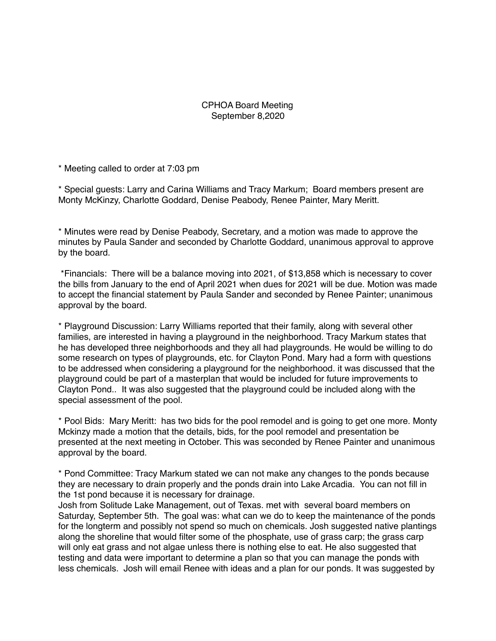## CPHOA Board Meeting September 8,2020

\* Meeting called to order at 7:03 pm

\* Special guests: Larry and Carina Williams and Tracy Markum; Board members present are Monty McKinzy, Charlotte Goddard, Denise Peabody, Renee Painter, Mary Meritt.

\* Minutes were read by Denise Peabody, Secretary, and a motion was made to approve the minutes by Paula Sander and seconded by Charlotte Goddard, unanimous approval to approve by the board.

 \*Financials: There will be a balance moving into 2021, of \$13,858 which is necessary to cover the bills from January to the end of April 2021 when dues for 2021 will be due. Motion was made to accept the financial statement by Paula Sander and seconded by Renee Painter; unanimous approval by the board.

\* Playground Discussion: Larry Williams reported that their family, along with several other families, are interested in having a playground in the neighborhood. Tracy Markum states that he has developed three neighborhoods and they all had playgrounds. He would be willing to do some research on types of playgrounds, etc. for Clayton Pond. Mary had a form with questions to be addressed when considering a playground for the neighborhood. it was discussed that the playground could be part of a masterplan that would be included for future improvements to Clayton Pond.. It was also suggested that the playground could be included along with the special assessment of the pool.

\* Pool Bids: Mary Meritt: has two bids for the pool remodel and is going to get one more. Monty Mckinzy made a motion that the details, bids, for the pool remodel and presentation be presented at the next meeting in October. This was seconded by Renee Painter and unanimous approval by the board.

\* Pond Committee: Tracy Markum stated we can not make any changes to the ponds because they are necessary to drain properly and the ponds drain into Lake Arcadia. You can not fill in the 1st pond because it is necessary for drainage.

Josh from Solitude Lake Management, out of Texas. met with several board members on Saturday, September 5th. The goal was: what can we do to keep the maintenance of the ponds for the longterm and possibly not spend so much on chemicals. Josh suggested native plantings along the shoreline that would filter some of the phosphate, use of grass carp; the grass carp will only eat grass and not algae unless there is nothing else to eat. He also suggested that testing and data were important to determine a plan so that you can manage the ponds with less chemicals. Josh will email Renee with ideas and a plan for our ponds. It was suggested by